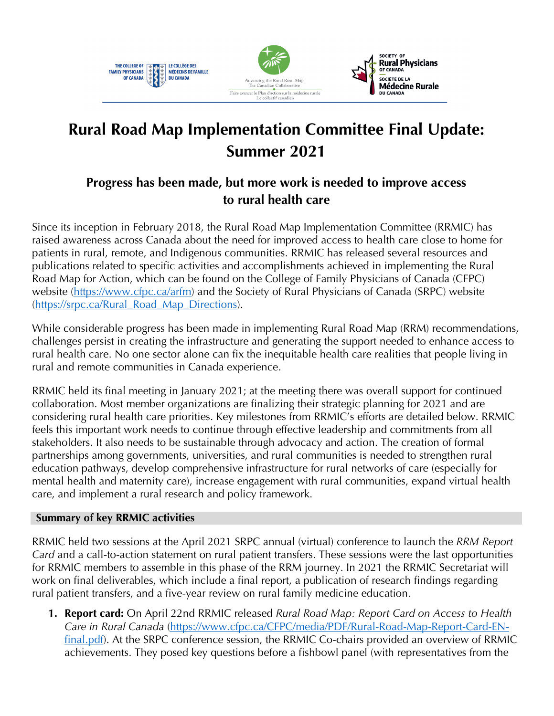

# **Rural Road Map Implementation Committee Final Update: Summer 2021**

## **Progress has been made, but more work is needed to improve access to rural health care**

Since its inception in February 2018, the Rural Road Map Implementation Committee (RRMIC) has raised awareness across Canada about the need for improved access to health care close to home for patients in rural, remote, and Indigenous communities. RRMIC has released several resources and publications related to specific activities and accomplishments achieved in implementing the Rural Road Map for Action, which can be found on the College of Family Physicians of Canada (CFPC) website [\(https://www.cfpc.ca/arfm\)](https://www.cfpc.ca/arfm) and the Society of Rural Physicians of Canada (SRPC) website [\(https://srpc.ca/Rural\\_Road\\_Map\\_Directions\)](https://srpc.ca/Rural_Road_Map_Directions).

While considerable progress has been made in implementing Rural Road Map (RRM) recommendations, challenges persist in creating the infrastructure and generating the support needed to enhance access to rural health care. No one sector alone can fix the inequitable health care realities that people living in rural and remote communities in Canada experience.

RRMIC held its final meeting in January 2021; at the meeting there was overall support for continued collaboration. Most member organizations are finalizing their strategic planning for 2021 and are considering rural health care priorities. Key milestones from RRMIC's efforts are detailed below. RRMIC feels this important work needs to continue through effective leadership and commitments from all stakeholders. It also needs to be sustainable through advocacy and action. The creation of formal partnerships among governments, universities, and rural communities is needed to strengthen rural education pathways, develop comprehensive infrastructure for rural networks of care (especially for mental health and maternity care), increase engagement with rural communities, expand virtual health care, and implement a rural research and policy framework.

### **Summary of key RRMIC activities**

RRMIC held two sessions at the April 2021 SRPC annual (virtual) conference to launch the *RRM Report Card* and a call-to-action statement on rural patient transfers. These sessions were the last opportunities for RRMIC members to assemble in this phase of the RRM journey. In 2021 the RRMIC Secretariat will work on final deliverables, which include a final report, a publication of research findings regarding rural patient transfers, and a five-year review on rural family medicine education.

**1. Report card:** On April 22nd RRMIC released *Rural Road Map: Report Card on Access to Health Care in Rural Canada* [\(https://www.cfpc.ca/CFPC/media/PDF/Rural-Road-Map-Report-Card-EN](https://www.cfpc.ca/CFPC/media/PDF/Rural-Road-Map-Report-Card-EN-final.pdf)[final.pdf\)](https://www.cfpc.ca/CFPC/media/PDF/Rural-Road-Map-Report-Card-EN-final.pdf). At the SRPC conference session, the RRMIC Co-chairs provided an overview of RRMIC achievements. They posed key questions before a fishbowl panel (with representatives from the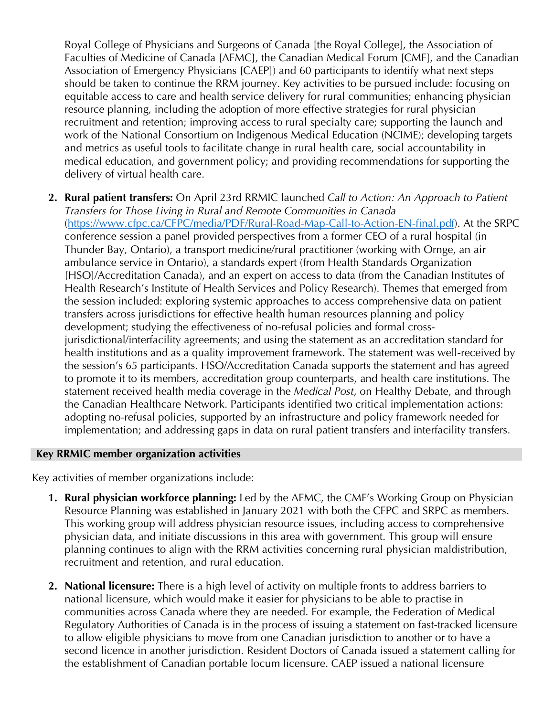Royal College of Physicians and Surgeons of Canada [the Royal College], the Association of Faculties of Medicine of Canada [AFMC], the Canadian Medical Forum [CMF], and the Canadian Association of Emergency Physicians [CAEP]) and 60 participants to identify what next steps should be taken to continue the RRM journey. Key activities to be pursued include: focusing on equitable access to care and health service delivery for rural communities; enhancing physician resource planning, including the adoption of more effective strategies for rural physician recruitment and retention; improving access to rural specialty care; supporting the launch and work of the National Consortium on Indigenous Medical Education (NCIME); developing targets and metrics as useful tools to facilitate change in rural health care, social accountability in medical education, and government policy; and providing recommendations for supporting the delivery of virtual health care.

**2. Rural patient transfers:** On April 23rd RRMIC launched *Call to Action: An Approach to Patient Transfers for Those Living in Rural and Remote Communities in Canada* [\(https://www.cfpc.ca/CFPC/media/PDF/Rural-Road-Map-Call-to-Action-EN-final.pdf\)](https://www.cfpc.ca/CFPC/media/PDF/Rural-Road-Map-Call-to-Action-EN-final.pdf). At the SRPC conference session a panel provided perspectives from a former CEO of a rural hospital (in Thunder Bay, Ontario), a transport medicine/rural practitioner (working with Ornge, an air ambulance service in Ontario), a standards expert (from Health Standards Organization [HSO]/Accreditation Canada), and an expert on access to data (from the Canadian Institutes of Health Research's Institute of Health Services and Policy Research). Themes that emerged from the session included: exploring systemic approaches to access comprehensive data on patient transfers across jurisdictions for effective health human resources planning and policy development; studying the effectiveness of no-refusal policies and formal crossjurisdictional/interfacility agreements; and using the statement as an accreditation standard for health institutions and as a quality improvement framework. The statement was well-received by the session's 65 participants. HSO/Accreditation Canada supports the statement and has agreed to promote it to its members, accreditation group counterparts, and health care institutions. The statement received health media coverage in the *Medical Post*, on Healthy Debate, and through the Canadian Healthcare Network. Participants identified two critical implementation actions: adopting no-refusal policies, supported by an infrastructure and policy framework needed for implementation; and addressing gaps in data on rural patient transfers and interfacility transfers.

### **Key RRMIC member organization activities**

Key activities of member organizations include:

- **1. Rural physician workforce planning:** Led by the AFMC, the CMF's Working Group on Physician Resource Planning was established in January 2021 with both the CFPC and SRPC as members. This working group will address physician resource issues, including access to comprehensive physician data, and initiate discussions in this area with government. This group will ensure planning continues to align with the RRM activities concerning rural physician maldistribution, recruitment and retention, and rural education.
- **2. National licensure:** There is a high level of activity on multiple fronts to address barriers to national licensure, which would make it easier for physicians to be able to practise in communities across Canada where they are needed. For example, the Federation of Medical Regulatory Authorities of Canada is in the process of issuing a statement on fast-tracked licensure to allow eligible physicians to move from one Canadian jurisdiction to another or to have a second licence in another jurisdiction. Resident Doctors of Canada issued a statement calling for the establishment of Canadian portable locum licensure. CAEP issued a national licensure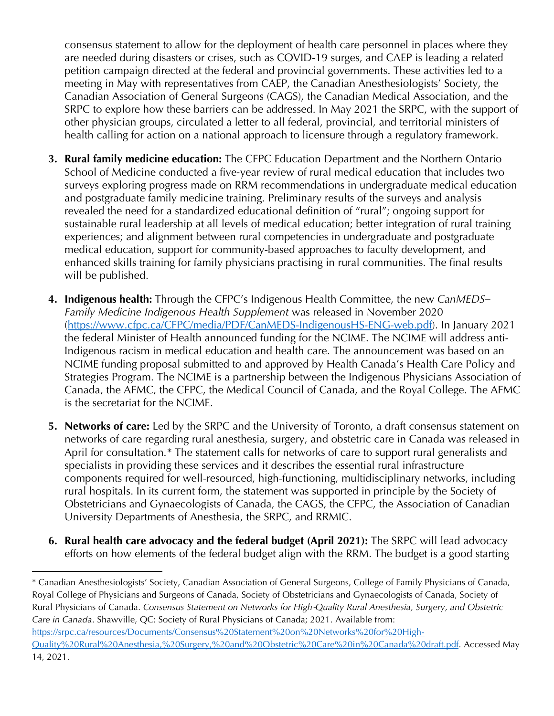consensus statement to allow for the deployment of health care personnel in places where they are needed during disasters or crises, such as COVID-19 surges, and CAEP is leading a related petition campaign directed at the federal and provincial governments. These activities led to a meeting in May with representatives from CAEP, the Canadian Anesthesiologists' Society, the Canadian Association of General Surgeons (CAGS), the Canadian Medical Association, and the SRPC to explore how these barriers can be addressed. In May 2021 the SRPC, with the support of other physician groups, circulated a letter to all federal, provincial, and territorial ministers of health calling for action on a national approach to licensure through a regulatory framework.

- **3. Rural family medicine education:** The CFPC Education Department and the Northern Ontario School of Medicine conducted a five-year review of rural medical education that includes two surveys exploring progress made on RRM recommendations in undergraduate medical education and postgraduate family medicine training. Preliminary results of the surveys and analysis revealed the need for a standardized educational definition of "rural"; ongoing support for sustainable rural leadership at all levels of medical education; better integration of rural training experiences; and alignment between rural competencies in undergraduate and postgraduate medical education, support for community-based approaches to faculty development, and enhanced skills training for family physicians practising in rural communities. The final results will be published.
- **4. Indigenous health:** Through the CFPC's Indigenous Health Committee, the new *CanMEDS– Family Medicine Indigenous Health Supplement* was released in November 2020 [\(https://www.cfpc.ca/CFPC/media/PDF/CanMEDS-IndigenousHS-ENG-web.pdf\)](https://www.cfpc.ca/CFPC/media/PDF/CanMEDS-IndigenousHS-ENG-web.pdf). In January 2021 the federal Minister of Health announced funding for the NCIME. The NCIME will address anti-Indigenous racism in medical education and health care. The announcement was based on an NCIME funding proposal submitted to and approved by Health Canada's Health Care Policy and Strategies Program. The NCIME is a partnership between the Indigenous Physicians Association of Canada, the AFMC, the CFPC, the Medical Council of Canada, and the Royal College. The AFMC is the secretariat for the NCIME.
- **5. Networks of care:** Led by the SRPC and the University of Toronto, a draft consensus statement on networks of care regarding rural anesthesia, surgery, and obstetric care in Canada was released in April for consultation.[\\*](#page-2-0) The statement calls for networks of care to support rural generalists and specialists in providing these services and it describes the essential rural infrastructure components required for well-resourced, high-functioning, multidisciplinary networks, including rural hospitals. In its current form, the statement was supported in principle by the Society of Obstetricians and Gynaecologists of Canada, the CAGS, the CFPC, the Association of Canadian University Departments of Anesthesia, the SRPC, and RRMIC.
- **6. Rural health care advocacy and the federal budget (April 2021):** The SRPC will lead advocacy efforts on how elements of the federal budget align with the RRM. The budget is a good starting

<span id="page-2-0"></span>\* Canadian Anesthesiologists' Society, Canadian Association of General Surgeons, College of Family Physicians of Canada, Royal College of Physicians and Surgeons of Canada, Society of Obstetricians and Gynaecologists of Canada, Society of Rural Physicians of Canada. *Consensus Statement on Networks for High*‐*Quality Rural Anesthesia, Surgery, and Obstetric Care in Canada*. Shawville, QC: Society of Rural Physicians of Canada; 2021. Available from:

[https://srpc.ca/resources/Documents/Consensus%20Statement%20on%20Networks%20for%20High-](https://srpc.ca/resources/Documents/Consensus%20Statement%20on%20Networks%20for%20High-Quality%20Rural%20Anesthesia,%20Surgery,%20and%20Obstetric%20Care%20in%20Canada%20draft.pdf)[Quality%20Rural%20Anesthesia,%20Surgery,%20and%20Obstetric%20Care%20in%20Canada%20draft.pdf.](https://srpc.ca/resources/Documents/Consensus%20Statement%20on%20Networks%20for%20High-Quality%20Rural%20Anesthesia,%20Surgery,%20and%20Obstetric%20Care%20in%20Canada%20draft.pdf) Accessed May 14, 2021.